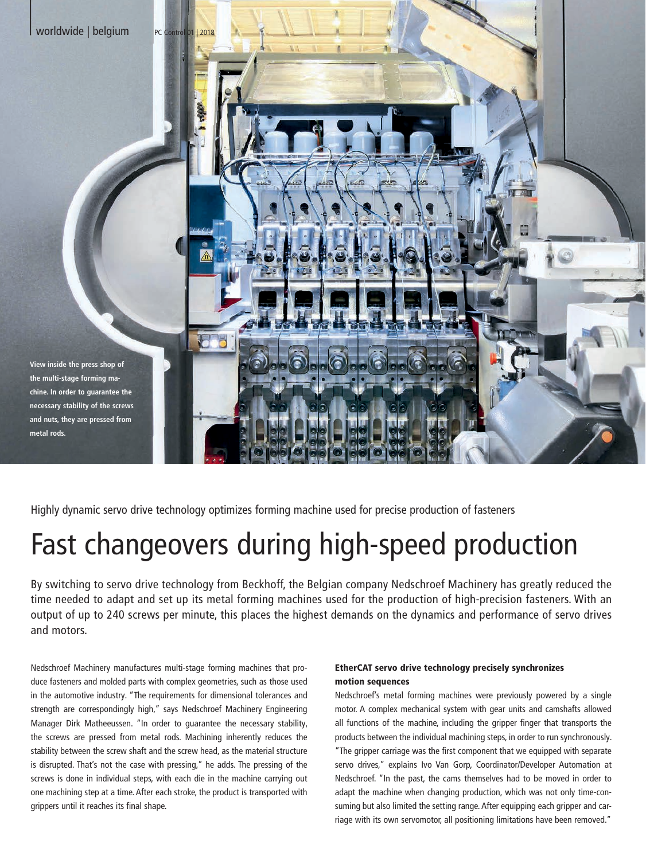

**metal rods.**



Highly dynamic servo drive technology optimizes forming machine used for precise production of fasteners

## Fast changeovers during high-speed production

By switching to servo drive technology from Beckhoff, the Belgian company Nedschroef Machinery has greatly reduced the time needed to adapt and set up its metal forming machines used for the production of high-precision fasteners. With an output of up to 240 screws per minute, this places the highest demands on the dynamics and performance of servo drives and motors.

Nedschroef Machinery manufactures multi-stage forming machines that produce fasteners and molded parts with complex geometries, such as those used in the automotive industry. "The requirements for dimensional tolerances and strength are correspondingly high," says Nedschroef Machinery Engineering Manager Dirk Matheeussen. "In order to guarantee the necessary stability, the screws are pressed from metal rods. Machining inherently reduces the stability between the screw shaft and the screw head, as the material structure is disrupted. That's not the case with pressing," he adds. The pressing of the screws is done in individual steps, with each die in the machine carrying out one machining step at a time. After each stroke, the product is transported with grippers until it reaches its final shape.

## EtherCAT servo drive technology precisely synchronizes motion sequences

Nedschroef's metal forming machines were previously powered by a single motor. A complex mechanical system with gear units and camshafts allowed all functions of the machine, including the gripper finger that transports the products between the individual machining steps, in order to run synchronously. "The gripper carriage was the first component that we equipped with separate servo drives," explains Ivo Van Gorp, Coordinator/Developer Automation at Nedschroef. "In the past, the cams themselves had to be moved in order to adapt the machine when changing production, which was not only time-consuming but also limited the setting range. After equipping each gripper and carriage with its own servomotor, all positioning limitations have been removed."